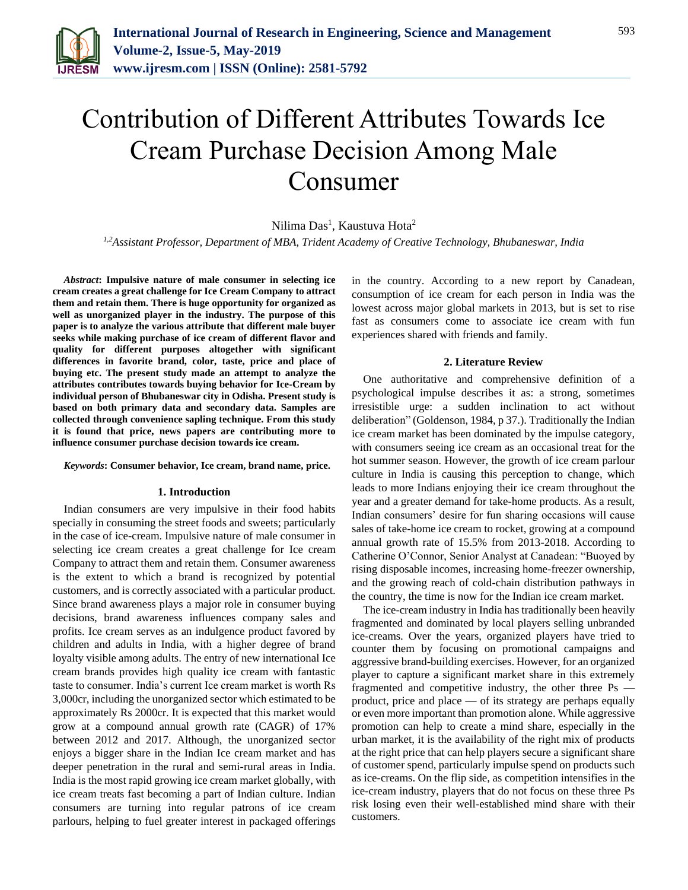

# Contribution of Different Attributes Towards Ice Cream Purchase Decision Among Male Consumer

Nilima Das<sup>1</sup>, Kaustuva Hota<sup>2</sup>

*1,2Assistant Professor, Department of MBA, Trident Academy of Creative Technology, Bhubaneswar, India*

*Abstract***: Impulsive nature of male consumer in selecting ice cream creates a great challenge for Ice Cream Company to attract them and retain them. There is huge opportunity for organized as well as unorganized player in the industry. The purpose of this paper is to analyze the various attribute that different male buyer seeks while making purchase of ice cream of different flavor and quality for different purposes altogether with significant differences in favorite brand, color, taste, price and place of buying etc. The present study made an attempt to analyze the attributes contributes towards buying behavior for Ice-Cream by individual person of Bhubaneswar city in Odisha. Present study is based on both primary data and secondary data. Samples are collected through convenience sapling technique. From this study it is found that price, news papers are contributing more to influence consumer purchase decision towards ice cream.**

#### *Keywords***: Consumer behavior, Ice cream, brand name, price.**

#### **1. Introduction**

Indian consumers are very impulsive in their food habits specially in consuming the street foods and sweets; particularly in the case of ice-cream. Impulsive nature of male consumer in selecting ice cream creates a great challenge for Ice cream Company to attract them and retain them. Consumer awareness is the extent to which a brand is recognized by potential customers, and is correctly associated with a particular product. Since brand awareness plays a major role in consumer buying decisions, brand awareness influences company sales and profits. Ice cream serves as an indulgence product favored by children and adults in India, with a higher degree of brand loyalty visible among adults. The entry of new international Ice cream brands provides high quality ice cream with fantastic taste to consumer. India's current Ice cream market is worth Rs 3,000cr, including the unorganized sector which estimated to be approximately Rs 2000cr. It is expected that this market would grow at a compound annual growth rate (CAGR) of 17% between 2012 and 2017. Although, the unorganized sector enjoys a bigger share in the Indian Ice cream market and has deeper penetration in the rural and semi-rural areas in India. India is the most rapid growing ice cream market globally, with ice cream treats fast becoming a part of Indian culture. Indian consumers are turning into regular patrons of ice cream parlours, helping to fuel greater interest in packaged offerings

in the country. According to a new report by Canadean, consumption of ice cream for each person in India was the lowest across major global markets in 2013, but is set to rise fast as consumers come to associate ice cream with fun experiences shared with friends and family.

#### **2. Literature Review**

One authoritative and comprehensive definition of a psychological impulse describes it as: a strong, sometimes irresistible urge: a sudden inclination to act without deliberation" (Goldenson, 1984, p 37.). Traditionally the Indian ice cream market has been dominated by the impulse category, with consumers seeing ice cream as an occasional treat for the hot summer season. However, the growth of ice cream parlour culture in India is causing this perception to change, which leads to more Indians enjoying their ice cream throughout the year and a greater demand for take-home products. As a result, Indian consumers' desire for fun sharing occasions will cause sales of take-home ice cream to rocket, growing at a compound annual growth rate of 15.5% from 2013-2018. According to Catherine O'Connor, Senior Analyst at Canadean: "Buoyed by rising disposable incomes, increasing home-freezer ownership, and the growing reach of cold-chain distribution pathways in the country, the time is now for the Indian ice cream market.

The ice-cream industry in India has traditionally been heavily fragmented and dominated by local players selling unbranded ice-creams. Over the years, organized players have tried to counter them by focusing on promotional campaigns and aggressive brand-building exercises. However, for an organized player to capture a significant market share in this extremely fragmented and competitive industry, the other three Ps product, price and place — of its strategy are perhaps equally or even more important than promotion alone. While aggressive promotion can help to create a mind share, especially in the urban market, it is the availability of the right mix of products at the right price that can help players secure a significant share of customer spend, particularly impulse spend on products such as ice-creams. On the flip side, as competition intensifies in the ice-cream industry, players that do not focus on these three Ps risk losing even their well-established mind share with their customers.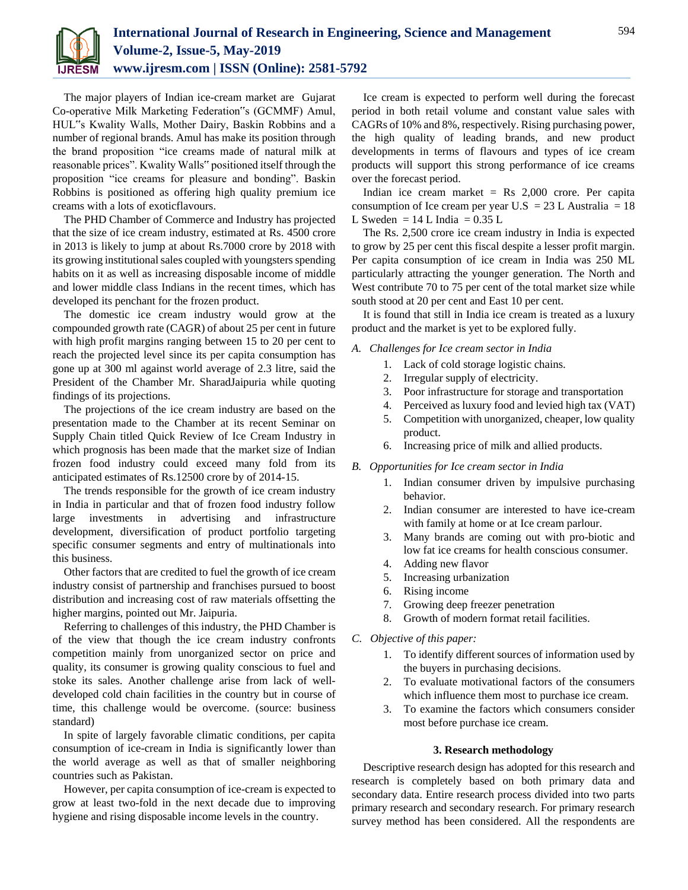

The major players of Indian ice-cream market are Gujarat Co-operative Milk Marketing Federation"s (GCMMF) Amul, HUL"s Kwality Walls, Mother Dairy, Baskin Robbins and a number of regional brands. Amul has make its position through the brand proposition "ice creams made of natural milk at reasonable prices". Kwality Walls" positioned itself through the proposition "ice creams for pleasure and bonding". Baskin Robbins is positioned as offering high quality premium ice creams with a lots of exoticflavours.

The PHD Chamber of Commerce and Industry has projected that the size of ice cream industry, estimated at Rs. 4500 crore in 2013 is likely to jump at about Rs.7000 crore by 2018 with its growing institutional sales coupled with youngsters spending habits on it as well as increasing disposable income of middle and lower middle class Indians in the recent times, which has developed its penchant for the frozen product.

The domestic ice cream industry would grow at the compounded growth rate (CAGR) of about 25 per cent in future with high profit margins ranging between 15 to 20 per cent to reach the projected level since its per capita consumption has gone up at 300 ml against world average of 2.3 litre, said the President of the Chamber Mr. SharadJaipuria while quoting findings of its projections.

The projections of the ice cream industry are based on the presentation made to the Chamber at its recent Seminar on Supply Chain titled Quick Review of Ice Cream Industry in which prognosis has been made that the market size of Indian frozen food industry could exceed many fold from its anticipated estimates of Rs.12500 crore by of 2014-15.

The trends responsible for the growth of ice cream industry in India in particular and that of frozen food industry follow large investments in advertising and infrastructure development, diversification of product portfolio targeting specific consumer segments and entry of multinationals into this business.

Other factors that are credited to fuel the growth of ice cream industry consist of partnership and franchises pursued to boost distribution and increasing cost of raw materials offsetting the higher margins, pointed out Mr. Jaipuria.

Referring to challenges of this industry, the PHD Chamber is of the view that though the ice cream industry confronts competition mainly from unorganized sector on price and quality, its consumer is growing quality conscious to fuel and stoke its sales. Another challenge arise from lack of welldeveloped cold chain facilities in the country but in course of time, this challenge would be overcome. (source: business standard)

In spite of largely favorable climatic conditions, per capita consumption of ice-cream in India is significantly lower than the world average as well as that of smaller neighboring countries such as Pakistan.

However, per capita consumption of ice-cream is expected to grow at least two-fold in the next decade due to improving hygiene and rising disposable income levels in the country.

Ice cream is expected to perform well during the forecast period in both retail volume and constant value sales with CAGRs of 10% and 8%, respectively. Rising purchasing power, the high quality of leading brands, and new product developments in terms of flavours and types of ice cream products will support this strong performance of ice creams over the forecast period.

Indian ice cream market  $=$  Rs 2,000 crore. Per capita consumption of Ice cream per year U.S = 23 L Australia = 18 L Sweden =  $14$  L India =  $0.35$  L

The Rs. 2,500 crore ice cream industry in India is expected to grow by 25 per cent this fiscal despite a lesser profit margin. Per capita consumption of ice cream in India was 250 ML particularly attracting the younger generation. The North and West contribute 70 to 75 per cent of the total market size while south stood at 20 per cent and East 10 per cent.

It is found that still in India ice cream is treated as a luxury product and the market is yet to be explored fully.

- *A. Challenges for Ice cream sector in India*
	- 1. Lack of cold storage logistic chains.
	- 2. Irregular supply of electricity.
	- 3. Poor infrastructure for storage and transportation
	- 4. Perceived as luxury food and levied high tax (VAT)
	- 5. Competition with unorganized, cheaper, low quality product.
	- 6. Increasing price of milk and allied products.
- *B. Opportunities for Ice cream sector in India*
	- 1. Indian consumer driven by impulsive purchasing behavior.
	- 2. Indian consumer are interested to have ice-cream with family at home or at Ice cream parlour.
	- 3. Many brands are coming out with pro-biotic and low fat ice creams for health conscious consumer.
	- 4. Adding new flavor
	- 5. Increasing urbanization
	- 6. Rising income
	- 7. Growing deep freezer penetration
	- 8. Growth of modern format retail facilities.
- *C. Objective of this paper:*
	- 1. To identify different sources of information used by the buyers in purchasing decisions.
	- 2. To evaluate motivational factors of the consumers which influence them most to purchase ice cream.
	- 3. To examine the factors which consumers consider most before purchase ice cream.

# **3. Research methodology**

Descriptive research design has adopted for this research and research is completely based on both primary data and secondary data. Entire research process divided into two parts primary research and secondary research. For primary research survey method has been considered. All the respondents are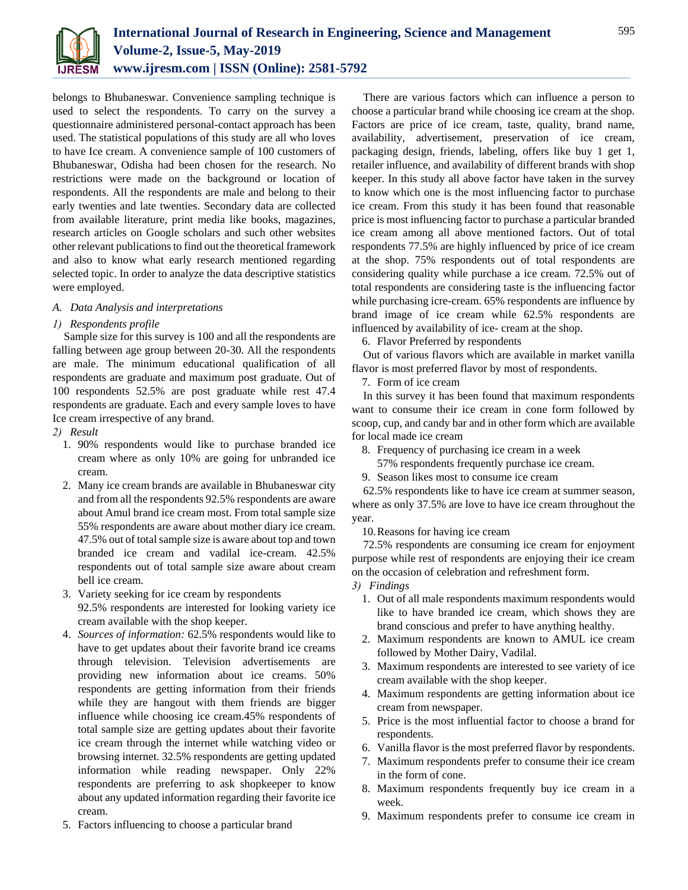

belongs to Bhubaneswar. Convenience sampling technique is used to select the respondents. To carry on the survey a questionnaire administered personal-contact approach has been used. The statistical populations of this study are all who loves to have Ice cream. A convenience sample of 100 customers of Bhubaneswar, Odisha had been chosen for the research. No restrictions were made on the background or location of respondents. All the respondents are male and belong to their early twenties and late twenties. Secondary data are collected from available literature, print media like books, magazines, research articles on Google scholars and such other websites other relevant publications to find out the theoretical framework and also to know what early research mentioned regarding selected topic. In order to analyze the data descriptive statistics were employed.

# *A. Data Analysis and interpretations*

## *1) Respondents profile*

Sample size for this survey is 100 and all the respondents are falling between age group between 20-30. All the respondents are male. The minimum educational qualification of all respondents are graduate and maximum post graduate. Out of 100 respondents 52.5% are post graduate while rest 47.4 respondents are graduate. Each and every sample loves to have Ice cream irrespective of any brand.

- *2) Result*
	- 1. 90% respondents would like to purchase branded ice cream where as only 10% are going for unbranded ice cream.
	- 2. Many ice cream brands are available in Bhubaneswar city and from all the respondents 92.5% respondents are aware about Amul brand ice cream most. From total sample size 55% respondents are aware about mother diary ice cream. 47.5% out of total sample size is aware about top and town branded ice cream and vadilal ice-cream. 42.5% respondents out of total sample size aware about cream bell ice cream.
	- 3. Variety seeking for ice cream by respondents 92.5% respondents are interested for looking variety ice cream available with the shop keeper.
	- 4. *Sources of information:* 62.5% respondents would like to have to get updates about their favorite brand ice creams through television. Television advertisements are providing new information about ice creams. 50% respondents are getting information from their friends while they are hangout with them friends are bigger influence while choosing ice cream.45% respondents of total sample size are getting updates about their favorite ice cream through the internet while watching video or browsing internet. 32.5% respondents are getting updated information while reading newspaper. Only 22% respondents are preferring to ask shopkeeper to know about any updated information regarding their favorite ice cream.
	- 5. Factors influencing to choose a particular brand

There are various factors which can influence a person to choose a particular brand while choosing ice cream at the shop. Factors are price of ice cream, taste, quality, brand name, availability, advertisement, preservation of ice cream, packaging design, friends, labeling, offers like buy 1 get 1, retailer influence, and availability of different brands with shop keeper. In this study all above factor have taken in the survey to know which one is the most influencing factor to purchase ice cream. From this study it has been found that reasonable price is most influencing factor to purchase a particular branded ice cream among all above mentioned factors. Out of total respondents 77.5% are highly influenced by price of ice cream at the shop. 75% respondents out of total respondents are considering quality while purchase a ice cream. 72.5% out of total respondents are considering taste is the influencing factor while purchasing icre-cream. 65% respondents are influence by brand image of ice cream while 62.5% respondents are influenced by availability of ice- cream at the shop.

6. Flavor Preferred by respondents

Out of various flavors which are available in market vanilla flavor is most preferred flavor by most of respondents.

7. Form of ice cream

In this survey it has been found that maximum respondents want to consume their ice cream in cone form followed by scoop, cup, and candy bar and in other form which are available for local made ice cream

- 8. Frequency of purchasing ice cream in a week
- 57% respondents frequently purchase ice cream.
- 9. Season likes most to consume ice cream

62.5% respondents like to have ice cream at summer season, where as only 37.5% are love to have ice cream throughout the year.

10.Reasons for having ice cream

72.5% respondents are consuming ice cream for enjoyment purpose while rest of respondents are enjoying their ice cream on the occasion of celebration and refreshment form.

- *3) Findings*
	- 1. Out of all male respondents maximum respondents would like to have branded ice cream, which shows they are brand conscious and prefer to have anything healthy.
	- 2. Maximum respondents are known to AMUL ice cream followed by Mother Dairy, Vadilal.
	- 3. Maximum respondents are interested to see variety of ice cream available with the shop keeper.
	- 4. Maximum respondents are getting information about ice cream from newspaper.
	- 5. Price is the most influential factor to choose a brand for respondents.
	- 6. Vanilla flavor is the most preferred flavor by respondents.
	- 7. Maximum respondents prefer to consume their ice cream in the form of cone.
	- 8. Maximum respondents frequently buy ice cream in a week.
	- 9. Maximum respondents prefer to consume ice cream in